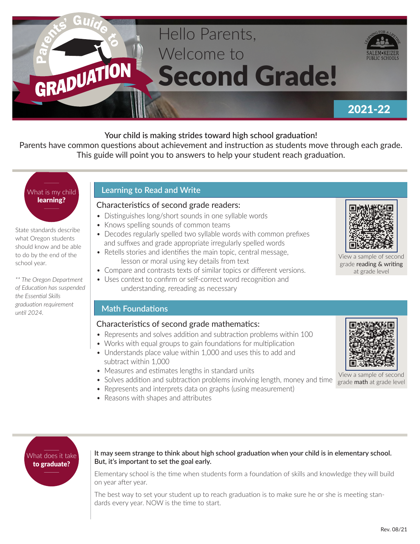# Hello Parents, Welcome to GRADUATION Second Grade!



# 2021-22

# **Your child is making strides toward high school graduation!**

Parents have common questions about achievement and instruction as students move through each grade. This guide will point you to answers to help your student reach graduation.

# What is my child learning?

State standards describe what Oregon students should know and be able to do by the end of the school year.

*\*\* The Oregon Department of Education has suspended the Essential Skills graduation requirement until 2024.*

# **Learning to Read and Write**

### Characteristics of second grade readers:

- Distinguishes long/short sounds in one syllable words
- Knows spelling sounds of common teams
- Decodes regularly spelled two syllable words with common prefixes and suffixes and grade appropriate irregularly spelled words
- Retells stories and identifies the main topic, central message, lesson or moral using key details from text
- Compare and contrasts texts of similar topics or different versions.
- Uses context to confirm or self-correct word recognition and understanding, rereading as necessary

# **Math Foundations**

# Characteristics of second grade mathematics:

- Represents and solves addition and subtraction problems within 100
- Works with equal groups to gain foundations for multiplication
- Understands place value within 1,000 and uses this to add and subtract within 1,000
- Measures and estimates lengths in standard units
- Solves addition and subtraction problems involving length, money and time
- Represents and interprets data on graphs (using measurement)
- Reasons with shapes and attributes



#### **It may seem strange to think about high school graduation when your child is in elementary school. But, it's important to set the goal early.**

Elementary school is the time when students form a foundation of skills and knowledge they will build on year after year.

The best way to set your student up to reach graduation is to make sure he or she is meeting standards every year. NOW is the time to start.



View a sample of second grade reading & writing at grade level



View a sample of second grade math at grade level